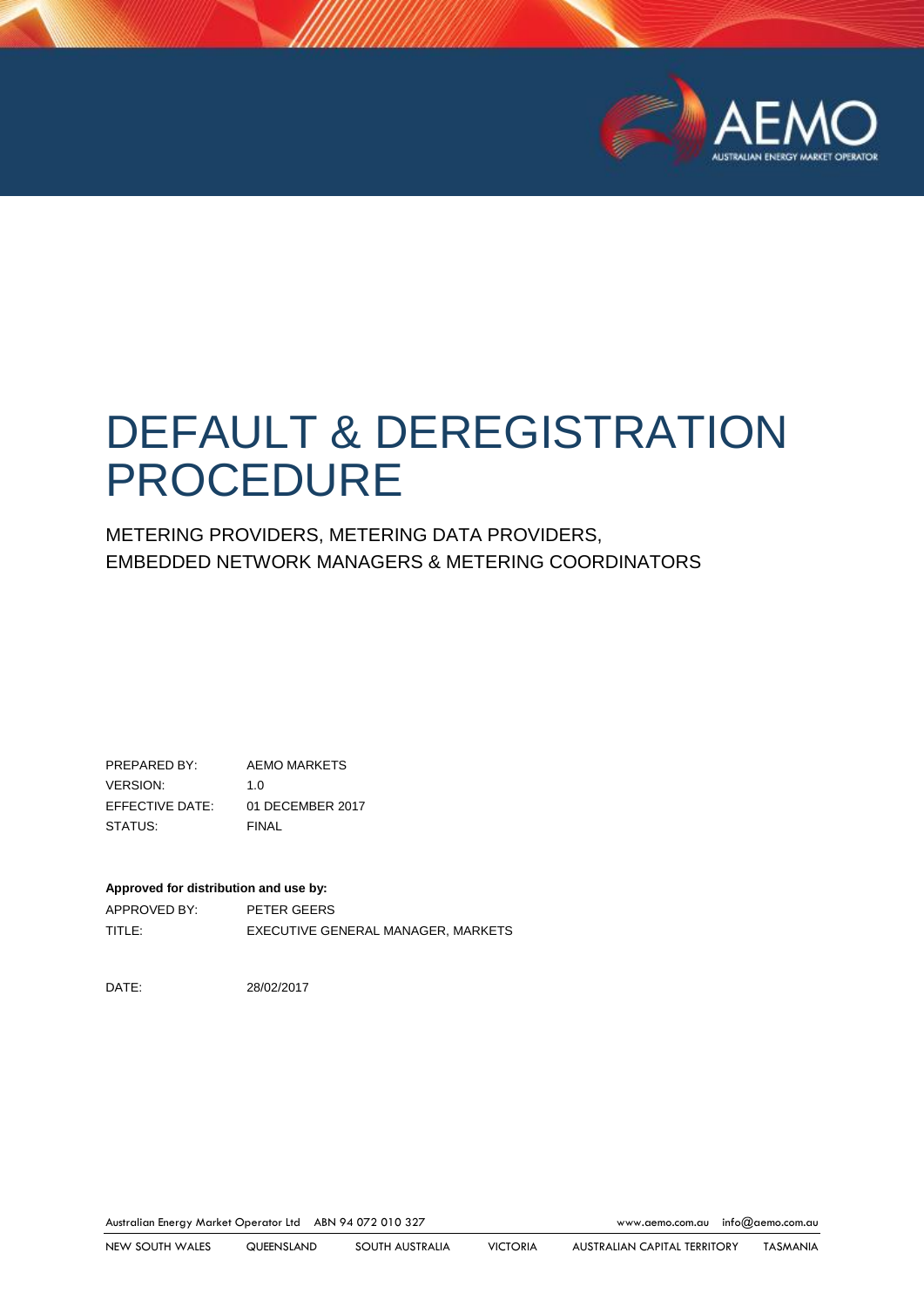

# DEFAULT & DEREGISTRATION PROCEDURE

METERING PROVIDERS, METERING DATA PROVIDERS, EMBEDDED NETWORK MANAGERS & METERING COORDINATORS

PREPARED BY: AEMO MARKETS VERSION: 1.0 EFFECTIVE DATE: 01 DECEMBER 2017 STATUS: FINAL

#### **Approved for distribution and use by:**

APPROVED BY: PETER GEERS TITLE: EXECUTIVE GENERAL MANAGER, MARKETS

DATE: 28/02/2017

Australian Energy Market Operator Ltd ABN 94 072 010 327 [www.aemo.com.au](http://www.aemo.com.au/) [info@aemo.com.au](mailto:info@aemo.com.au)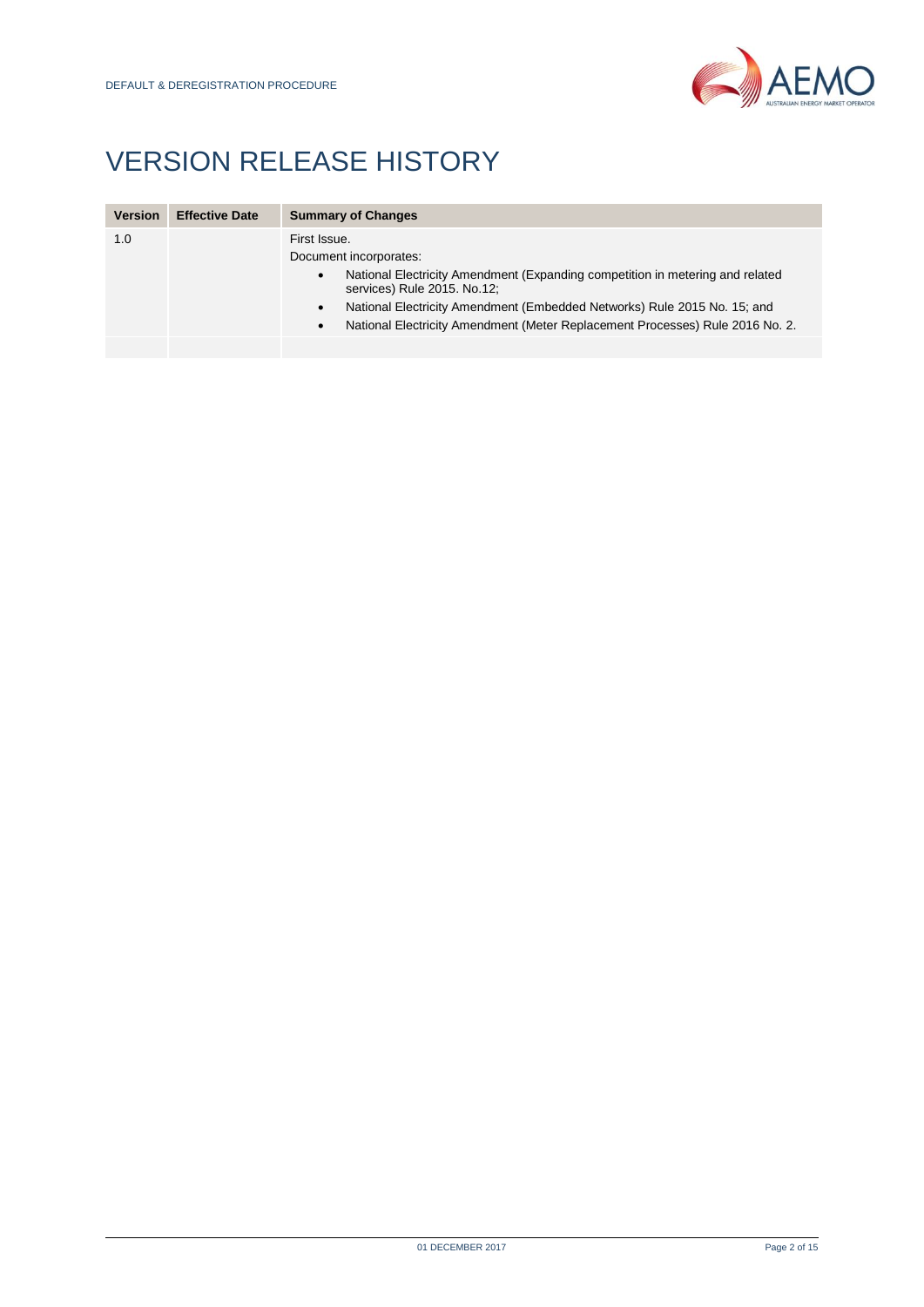

## VERSION RELEASE HISTORY

| <b>Version</b> | <b>Effective Date</b> | <b>Summary of Changes</b>                                                                                                                                                                                                                                                                                                                                  |  |  |
|----------------|-----------------------|------------------------------------------------------------------------------------------------------------------------------------------------------------------------------------------------------------------------------------------------------------------------------------------------------------------------------------------------------------|--|--|
| 1.0            |                       | First Issue.<br>Document incorporates:<br>National Electricity Amendment (Expanding competition in metering and related<br>$\bullet$<br>services) Rule 2015. No.12;<br>National Electricity Amendment (Embedded Networks) Rule 2015 No. 15; and<br>$\bullet$<br>National Electricity Amendment (Meter Replacement Processes) Rule 2016 No. 2.<br>$\bullet$ |  |  |
|                |                       |                                                                                                                                                                                                                                                                                                                                                            |  |  |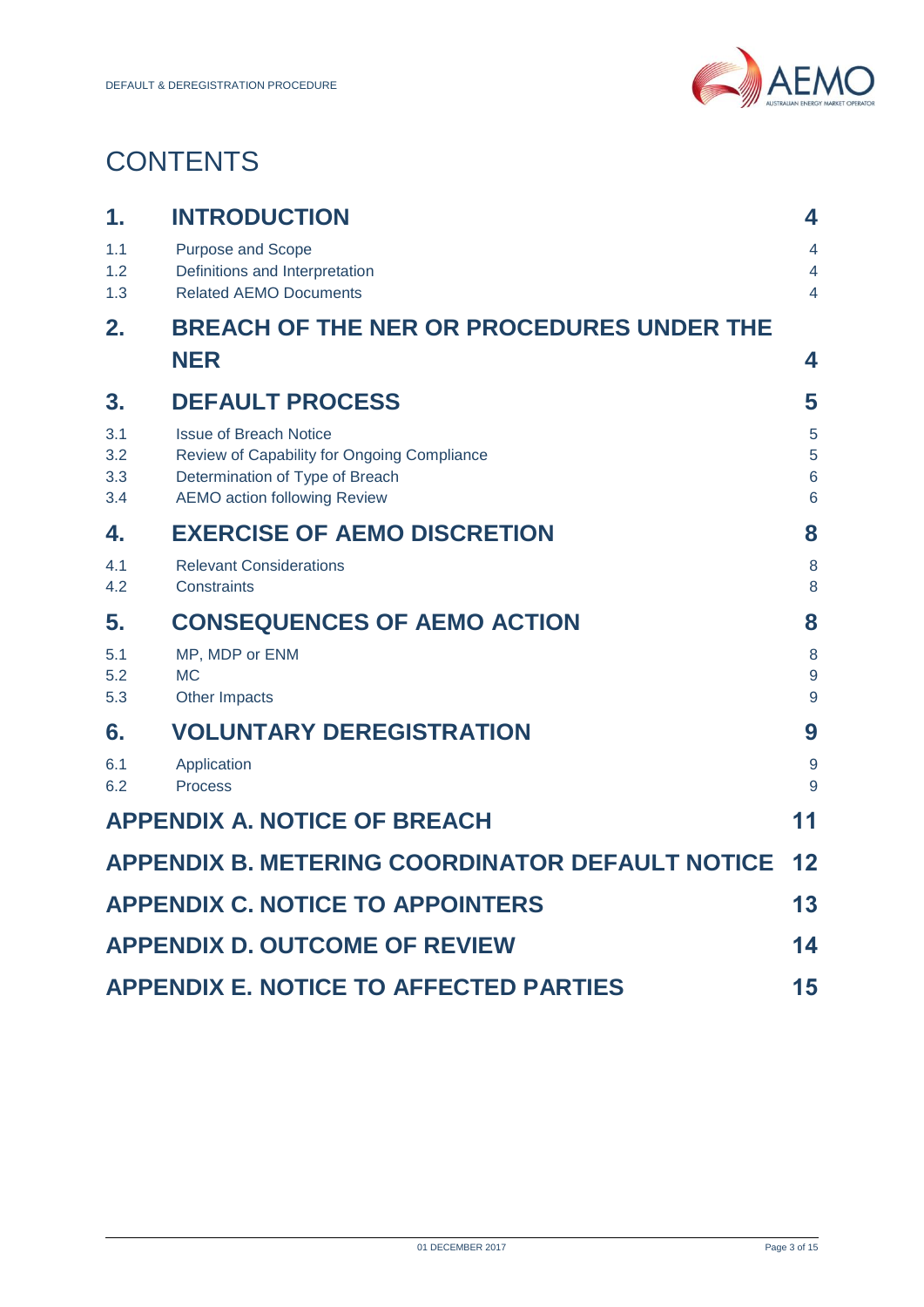

## **CONTENTS**

| 1.                       | <b>INTRODUCTION</b>                                                                                                                                    | 4                                            |  |
|--------------------------|--------------------------------------------------------------------------------------------------------------------------------------------------------|----------------------------------------------|--|
| 1.1<br>1.2<br>1.3        | Purpose and Scope<br>Definitions and Interpretation<br><b>Related AEMO Documents</b>                                                                   | 4<br>4<br>$\overline{4}$                     |  |
| 2.                       | <b>BREACH OF THE NER OR PROCEDURES UNDER THE</b>                                                                                                       |                                              |  |
|                          | <b>NER</b>                                                                                                                                             | 4                                            |  |
| 3.                       | <b>DEFAULT PROCESS</b>                                                                                                                                 | 5                                            |  |
| 3.1<br>3.2<br>3.3<br>3.4 | <b>Issue of Breach Notice</b><br>Review of Capability for Ongoing Compliance<br>Determination of Type of Breach<br><b>AEMO action following Review</b> | 5<br>5<br>$6\phantom{1}6$<br>$6\phantom{1}6$ |  |
| 4.                       | <b>EXERCISE OF AEMO DISCRETION</b>                                                                                                                     |                                              |  |
| 4.1<br>4.2               | <b>Relevant Considerations</b><br>Constraints                                                                                                          | 8<br>8                                       |  |
| 5.                       | <b>CONSEQUENCES OF AEMO ACTION</b>                                                                                                                     | 8                                            |  |
| 5.1<br>5.2<br>5.3        | MP, MDP or ENM<br><b>MC</b><br>Other Impacts                                                                                                           | 8<br>9<br>9                                  |  |
| 6.                       | <b>VOLUNTARY DEREGISTRATION</b>                                                                                                                        | 9                                            |  |
| 6.1<br>6.2               | Application<br><b>Process</b>                                                                                                                          | $\overline{9}$<br>9                          |  |
|                          | <b>APPENDIX A. NOTICE OF BREACH</b>                                                                                                                    | 11                                           |  |
|                          | <b>APPENDIX B. METERING COORDINATOR DEFAULT NOTICE</b>                                                                                                 | 12                                           |  |
|                          | <b>APPENDIX C. NOTICE TO APPOINTERS</b>                                                                                                                | 13                                           |  |
|                          | <b>APPENDIX D. OUTCOME OF REVIEW</b>                                                                                                                   | 14                                           |  |
|                          | <b>APPENDIX E. NOTICE TO AFFECTED PARTIES</b>                                                                                                          | 15                                           |  |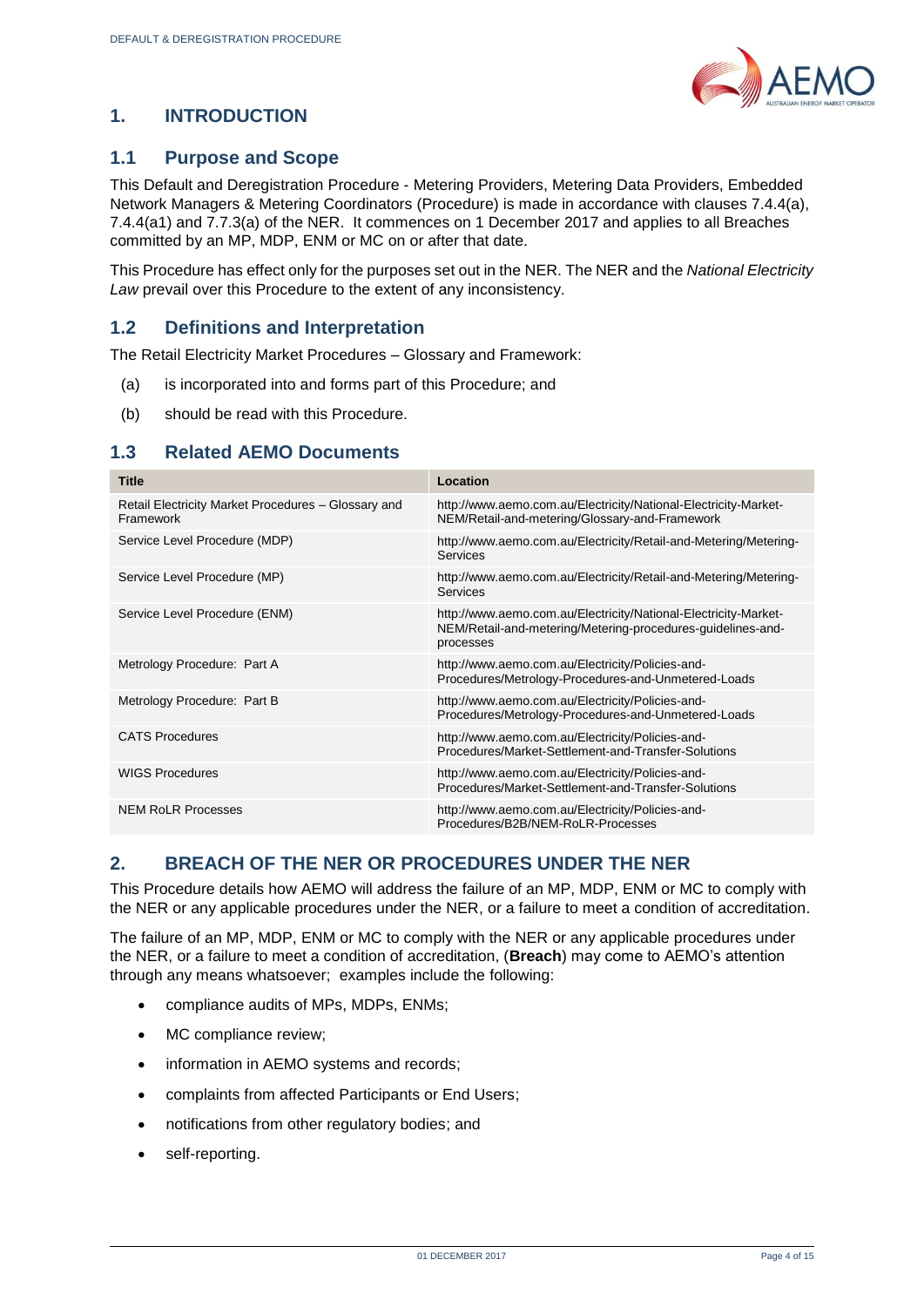

#### <span id="page-3-0"></span>**1. INTRODUCTION**

#### <span id="page-3-1"></span>**1.1 Purpose and Scope**

This Default and Deregistration Procedure - Metering Providers, Metering Data Providers, Embedded Network Managers & Metering Coordinators (Procedure) is made in accordance with clauses 7.4.4(a), 7.4.4(a1) and 7.7.3(a) of the NER. It commences on 1 December 2017 and applies to all Breaches committed by an MP, MDP, ENM or MC on or after that date.

This Procedure has effect only for the purposes set out in the NER. The NER and the *National Electricity Law* prevail over this Procedure to the extent of any inconsistency.

#### <span id="page-3-2"></span>**1.2 Definitions and Interpretation**

The Retail Electricity Market Procedures – Glossary and Framework:

- (a) is incorporated into and forms part of this Procedure; and
- (b) should be read with this Procedure.

#### <span id="page-3-3"></span>**1.3 Related AEMO Documents**

| <b>Title</b>                                                     | Location                                                                                                                                    |
|------------------------------------------------------------------|---------------------------------------------------------------------------------------------------------------------------------------------|
| Retail Electricity Market Procedures - Glossary and<br>Framework | http://www.aemo.com.au/Electricity/National-Electricity-Market-<br>NEM/Retail-and-metering/Glossary-and-Framework                           |
| Service Level Procedure (MDP)                                    | http://www.aemo.com.au/Electricity/Retail-and-Metering/Metering-<br>Services                                                                |
| Service Level Procedure (MP)                                     | http://www.aemo.com.au/Electricity/Retail-and-Metering/Metering-<br>Services                                                                |
| Service Level Procedure (ENM)                                    | http://www.aemo.com.au/Electricity/National-Electricity-Market-<br>NEM/Retail-and-metering/Metering-procedures-guidelines-and-<br>processes |
| Metrology Procedure: Part A                                      | http://www.aemo.com.au/Electricity/Policies-and-<br>Procedures/Metrology-Procedures-and-Unmetered-Loads                                     |
| Metrology Procedure: Part B                                      | http://www.aemo.com.au/Electricity/Policies-and-<br>Procedures/Metrology-Procedures-and-Unmetered-Loads                                     |
| CATS Procedures                                                  | http://www.aemo.com.au/Electricity/Policies-and-<br>Procedures/Market-Settlement-and-Transfer-Solutions                                     |
| <b>WIGS Procedures</b>                                           | http://www.aemo.com.au/Electricity/Policies-and-<br>Procedures/Market-Settlement-and-Transfer-Solutions                                     |
| <b>NEM RoLR Processes</b>                                        | http://www.aemo.com.au/Electricity/Policies-and-<br>Procedures/B2B/NEM-RoLR-Processes                                                       |

#### <span id="page-3-4"></span>**2. BREACH OF THE NER OR PROCEDURES UNDER THE NER**

This Procedure details how AEMO will address the failure of an MP, MDP, ENM or MC to comply with the NER or any applicable procedures under the NER, or a failure to meet a condition of accreditation.

The failure of an MP, MDP, ENM or MC to comply with the NER or any applicable procedures under the NER, or a failure to meet a condition of accreditation, (**Breach**) may come to AEMO's attention through any means whatsoever; examples include the following:

- compliance audits of MPs, MDPs, ENMs;
- MC compliance review:
- information in AEMO systems and records;
- complaints from affected Participants or End Users;
- notifications from other regulatory bodies; and
- self-reporting.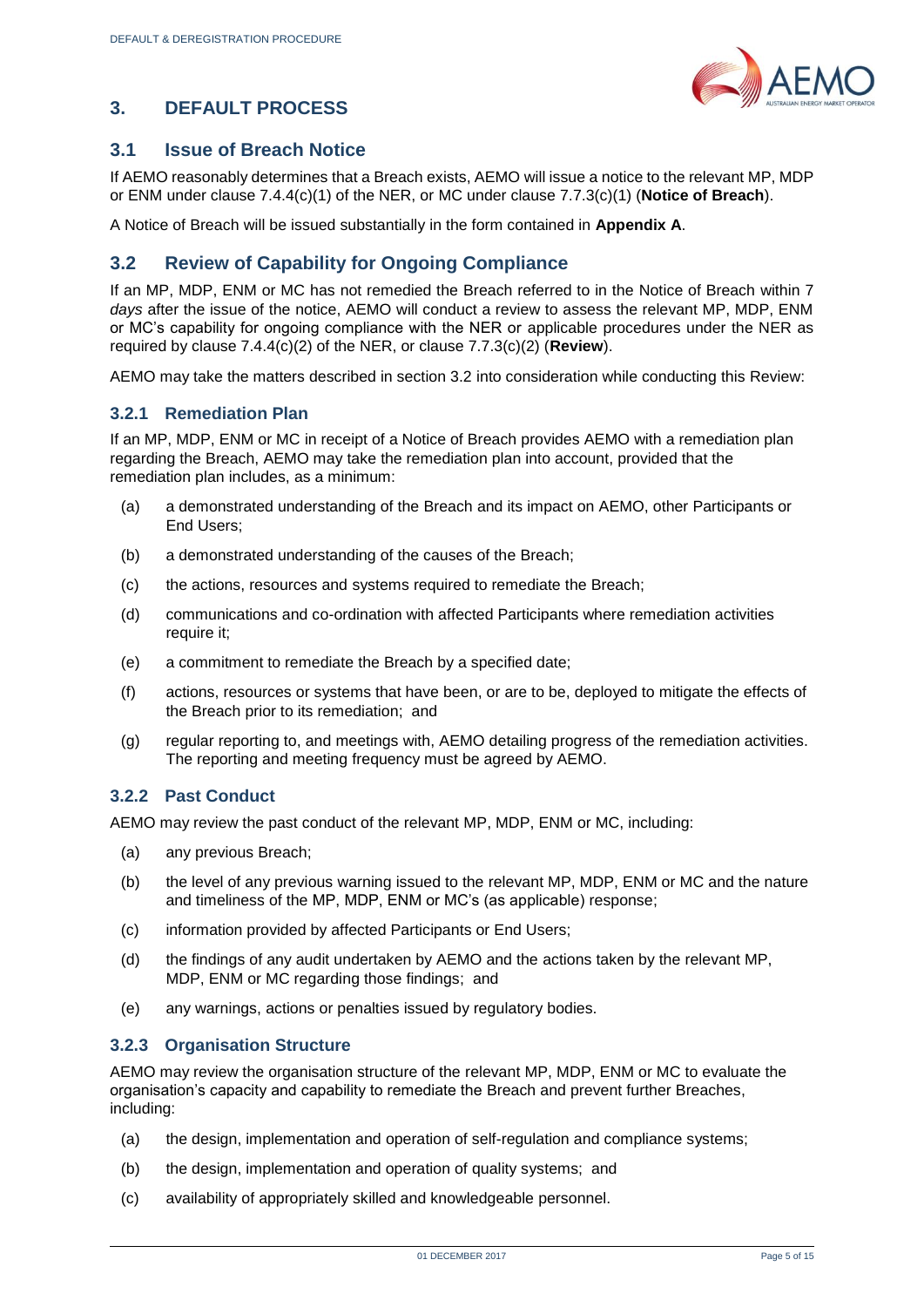

#### <span id="page-4-0"></span>**3. DEFAULT PROCESS**

#### <span id="page-4-1"></span>**3.1 Issue of Breach Notice**

If AEMO reasonably determines that a Breach exists, AEMO will issue a notice to the relevant MP, MDP or ENM under clause 7.4.4(c)(1) of the NER, or MC under clause 7.7.3(c)(1) (**Notice of Breach**).

A Notice of Breach will be issued substantially in the form contained in **Appendix A**.

#### <span id="page-4-2"></span>**3.2 Review of Capability for Ongoing Compliance**

If an MP, MDP, ENM or MC has not remedied the Breach referred to in the Notice of Breach within 7 *days* after the issue of the notice, AEMO will conduct a review to assess the relevant MP, MDP, ENM or MC's capability for ongoing compliance with the NER or applicable procedures under the NER as required by clause 7.4.4(c)(2) of the NER, or clause 7.7.3(c)(2) (**Review**).

AEMO may take the matters described in section 3.2 into consideration while conducting this Review:

#### **3.2.1 Remediation Plan**

If an MP, MDP, ENM or MC in receipt of a Notice of Breach provides AEMO with a remediation plan regarding the Breach, AEMO may take the remediation plan into account, provided that the remediation plan includes, as a minimum:

- (a) a demonstrated understanding of the Breach and its impact on AEMO, other Participants or End Users;
- (b) a demonstrated understanding of the causes of the Breach;
- (c) the actions, resources and systems required to remediate the Breach;
- (d) communications and co-ordination with affected Participants where remediation activities require it;
- (e) a commitment to remediate the Breach by a specified date;
- (f) actions, resources or systems that have been, or are to be, deployed to mitigate the effects of the Breach prior to its remediation; and
- (g) regular reporting to, and meetings with, AEMO detailing progress of the remediation activities. The reporting and meeting frequency must be agreed by AEMO.

#### **3.2.2 Past Conduct**

AEMO may review the past conduct of the relevant MP, MDP, ENM or MC, including:

- (a) any previous Breach;
- (b) the level of any previous warning issued to the relevant MP, MDP, ENM or MC and the nature and timeliness of the MP, MDP, ENM or MC's (as applicable) response;
- (c) information provided by affected Participants or End Users;
- (d) the findings of any audit undertaken by AEMO and the actions taken by the relevant MP, MDP, ENM or MC regarding those findings; and
- (e) any warnings, actions or penalties issued by regulatory bodies.

#### **3.2.3 Organisation Structure**

AEMO may review the organisation structure of the relevant MP, MDP, ENM or MC to evaluate the organisation's capacity and capability to remediate the Breach and prevent further Breaches, including:

- (a) the design, implementation and operation of self-regulation and compliance systems;
- (b) the design, implementation and operation of quality systems; and
- (c) availability of appropriately skilled and knowledgeable personnel.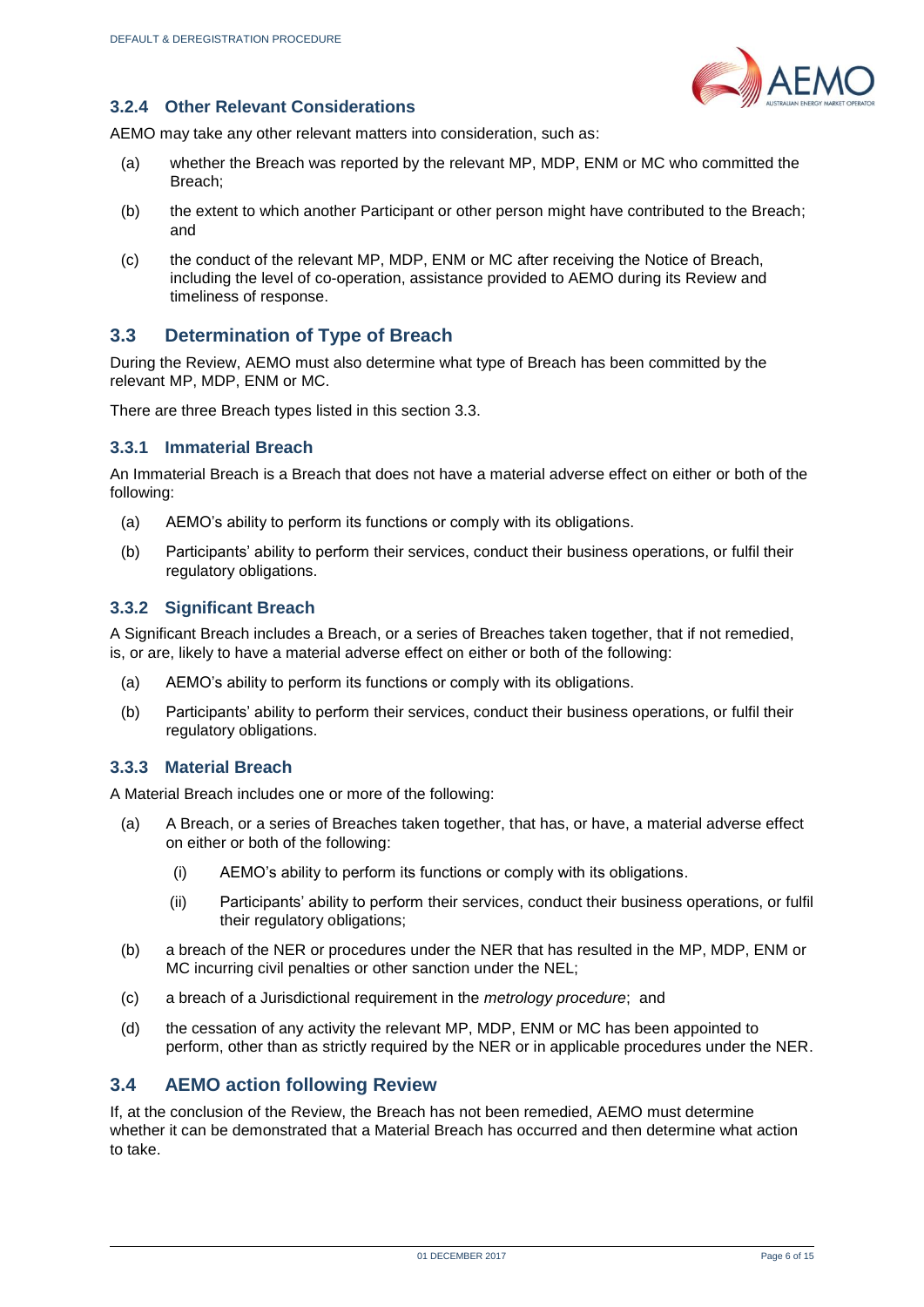

#### **3.2.4 Other Relevant Considerations**

AEMO may take any other relevant matters into consideration, such as:

- (a) whether the Breach was reported by the relevant MP, MDP, ENM or MC who committed the Breach;
- (b) the extent to which another Participant or other person might have contributed to the Breach; and
- (c) the conduct of the relevant MP, MDP, ENM or MC after receiving the Notice of Breach, including the level of co-operation, assistance provided to AEMO during its Review and timeliness of response.

#### <span id="page-5-0"></span>**3.3 Determination of Type of Breach**

During the Review, AEMO must also determine what type of Breach has been committed by the relevant MP, MDP, ENM or MC.

There are three Breach types listed in this section 3.3.

#### **3.3.1 Immaterial Breach**

An Immaterial Breach is a Breach that does not have a material adverse effect on either or both of the following:

- (a) AEMO's ability to perform its functions or comply with its obligations.
- (b) Participants' ability to perform their services, conduct their business operations, or fulfil their regulatory obligations.

#### **3.3.2 Significant Breach**

A Significant Breach includes a Breach, or a series of Breaches taken together, that if not remedied, is, or are, likely to have a material adverse effect on either or both of the following:

- (a) AEMO's ability to perform its functions or comply with its obligations.
- (b) Participants' ability to perform their services, conduct their business operations, or fulfil their regulatory obligations.

#### **3.3.3 Material Breach**

A Material Breach includes one or more of the following:

- (a) A Breach, or a series of Breaches taken together, that has, or have, a material adverse effect on either or both of the following:
	- (i) AEMO's ability to perform its functions or comply with its obligations.
	- (ii) Participants' ability to perform their services, conduct their business operations, or fulfil their regulatory obligations;
- (b) a breach of the NER or procedures under the NER that has resulted in the MP, MDP, ENM or MC incurring civil penalties or other sanction under the NEL;
- (c) a breach of a Jurisdictional requirement in the *metrology procedure*; and
- (d) the cessation of any activity the relevant MP, MDP, ENM or MC has been appointed to perform, other than as strictly required by the NER or in applicable procedures under the NER.

#### <span id="page-5-1"></span>**3.4 AEMO action following Review**

If, at the conclusion of the Review, the Breach has not been remedied, AEMO must determine whether it can be demonstrated that a Material Breach has occurred and then determine what action to take.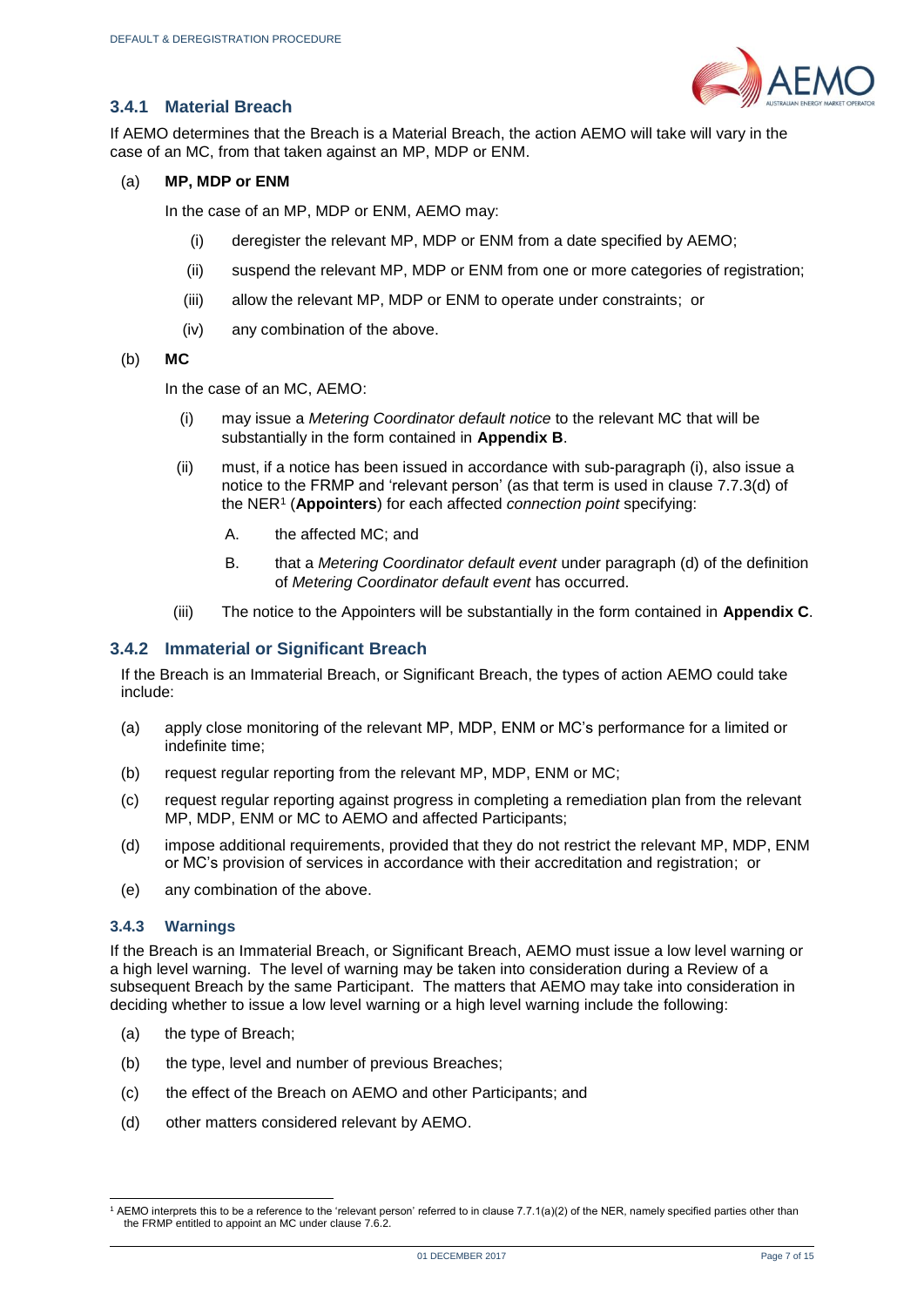

#### **3.4.1 Material Breach**

If AEMO determines that the Breach is a Material Breach, the action AEMO will take will vary in the case of an MC, from that taken against an MP, MDP or ENM.

(a) **MP, MDP or ENM** 

In the case of an MP, MDP or ENM, AEMO may:

- (i) deregister the relevant MP, MDP or ENM from a date specified by AEMO;
- (ii) suspend the relevant MP, MDP or ENM from one or more categories of registration;
- (iii) allow the relevant MP, MDP or ENM to operate under constraints; or
- (iv) any combination of the above.
- (b) **MC**

In the case of an MC, AEMO:

- (i) may issue a *Metering Coordinator default notice* to the relevant MC that will be substantially in the form contained in **Appendix B**.
- (ii) must, if a notice has been issued in accordance with sub-paragraph (i), also issue a notice to the FRMP and 'relevant person' (as that term is used in clause 7.7.3(d) of the NER<sup>1</sup> (**Appointers**) for each affected *connection point* specifying:
	- A. the affected MC; and
	- B. that a *Metering Coordinator default event* under paragraph (d) of the definition of *Metering Coordinator default event* has occurred.
- (iii) The notice to the Appointers will be substantially in the form contained in **Appendix C**.

#### **3.4.2 Immaterial or Significant Breach**

If the Breach is an Immaterial Breach, or Significant Breach, the types of action AEMO could take include:

- (a) apply close monitoring of the relevant MP, MDP, ENM or MC's performance for a limited or indefinite time;
- (b) request regular reporting from the relevant MP, MDP, ENM or MC;
- (c) request regular reporting against progress in completing a remediation plan from the relevant MP, MDP, ENM or MC to AEMO and affected Participants;
- (d) impose additional requirements, provided that they do not restrict the relevant MP, MDP, ENM or MC's provision of services in accordance with their accreditation and registration; or
- (e) any combination of the above.

#### **3.4.3 Warnings**

If the Breach is an Immaterial Breach, or Significant Breach, AEMO must issue a low level warning or a high level warning. The level of warning may be taken into consideration during a Review of a subsequent Breach by the same Participant. The matters that AEMO may take into consideration in deciding whether to issue a low level warning or a high level warning include the following:

- (a) the type of Breach;
- (b) the type, level and number of previous Breaches;
- (c) the effect of the Breach on AEMO and other Participants; and
- (d) other matters considered relevant by AEMO.

l 1 AEMO interprets this to be a reference to the 'relevant person' referred to in clause 7.7.1(a)(2) of the NER, namely specified parties other than the FRMP entitled to appoint an MC under clause 7.6.2.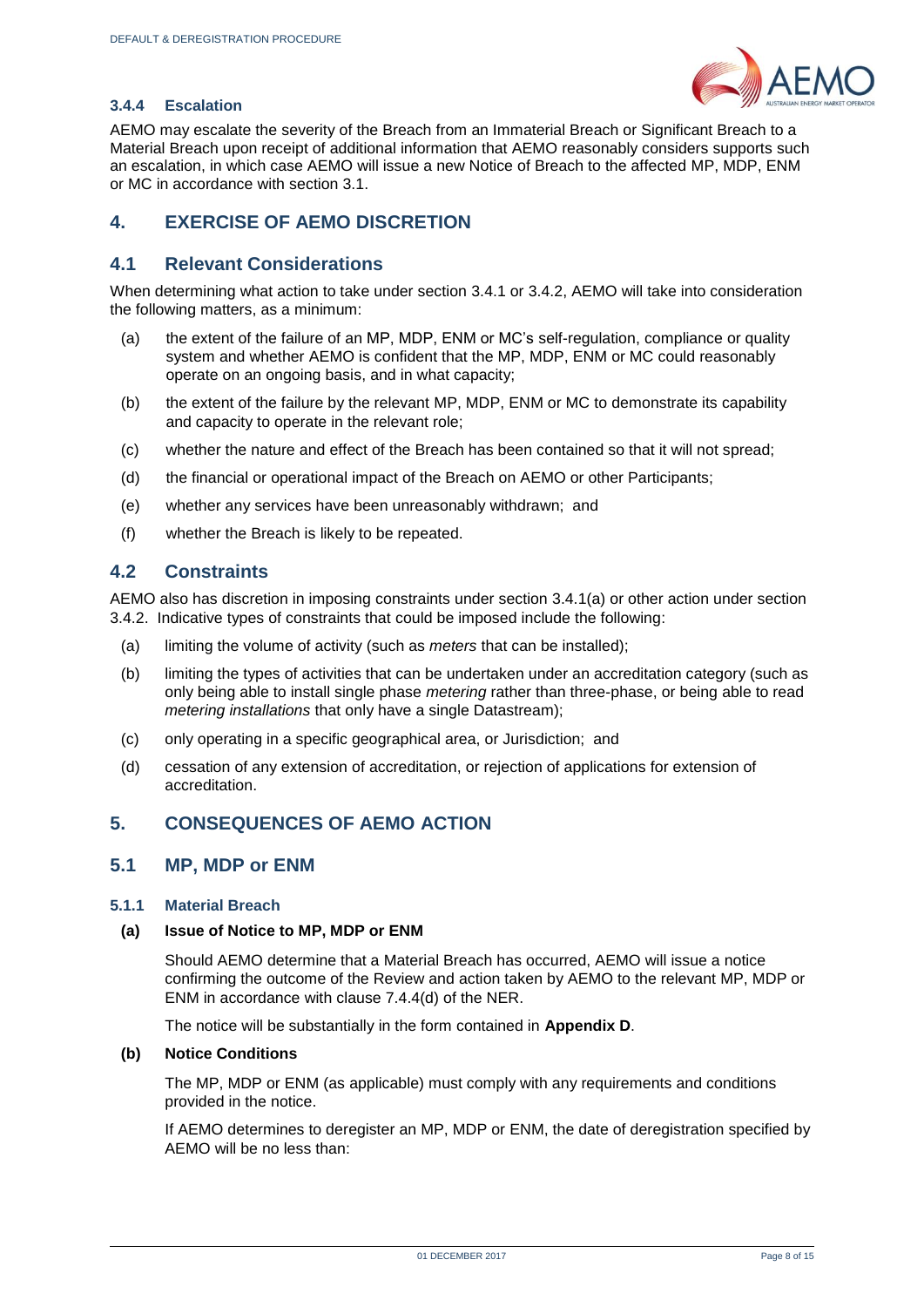

#### **3.4.4 Escalation**

AEMO may escalate the severity of the Breach from an Immaterial Breach or Significant Breach to a Material Breach upon receipt of additional information that AEMO reasonably considers supports such an escalation, in which case AEMO will issue a new Notice of Breach to the affected MP, MDP, ENM or MC in accordance with section 3.1.

#### <span id="page-7-0"></span>**4. EXERCISE OF AEMO DISCRETION**

#### <span id="page-7-1"></span>**4.1 Relevant Considerations**

When determining what action to take under section 3.4.1 or 3.4.2, AEMO will take into consideration the following matters, as a minimum:

- (a) the extent of the failure of an MP, MDP, ENM or MC's self-regulation, compliance or quality system and whether AEMO is confident that the MP, MDP, ENM or MC could reasonably operate on an ongoing basis, and in what capacity;
- (b) the extent of the failure by the relevant MP, MDP, ENM or MC to demonstrate its capability and capacity to operate in the relevant role;
- (c) whether the nature and effect of the Breach has been contained so that it will not spread;
- (d) the financial or operational impact of the Breach on AEMO or other Participants;
- (e) whether any services have been unreasonably withdrawn; and
- (f) whether the Breach is likely to be repeated.

#### <span id="page-7-2"></span>**4.2 Constraints**

AEMO also has discretion in imposing constraints under section 3.4.1(a) or other action under section 3.4.2. Indicative types of constraints that could be imposed include the following:

- (a) limiting the volume of activity (such as *meters* that can be installed);
- (b) limiting the types of activities that can be undertaken under an accreditation category (such as only being able to install single phase *metering* rather than three-phase, or being able to read *metering installations* that only have a single Datastream):
- (c) only operating in a specific geographical area, or Jurisdiction; and
- (d) cessation of any extension of accreditation, or rejection of applications for extension of accreditation.

#### <span id="page-7-3"></span>**5. CONSEQUENCES OF AEMO ACTION**

#### <span id="page-7-4"></span>**5.1 MP, MDP or ENM**

#### **5.1.1 Material Breach**

#### **(a) Issue of Notice to MP, MDP or ENM**

Should AEMO determine that a Material Breach has occurred, AEMO will issue a notice confirming the outcome of the Review and action taken by AEMO to the relevant MP, MDP or ENM in accordance with clause 7.4.4(d) of the NER.

The notice will be substantially in the form contained in **Appendix D**.

#### **(b) Notice Conditions**

The MP, MDP or ENM (as applicable) must comply with any requirements and conditions provided in the notice.

If AEMO determines to deregister an MP, MDP or ENM, the date of deregistration specified by AEMO will be no less than: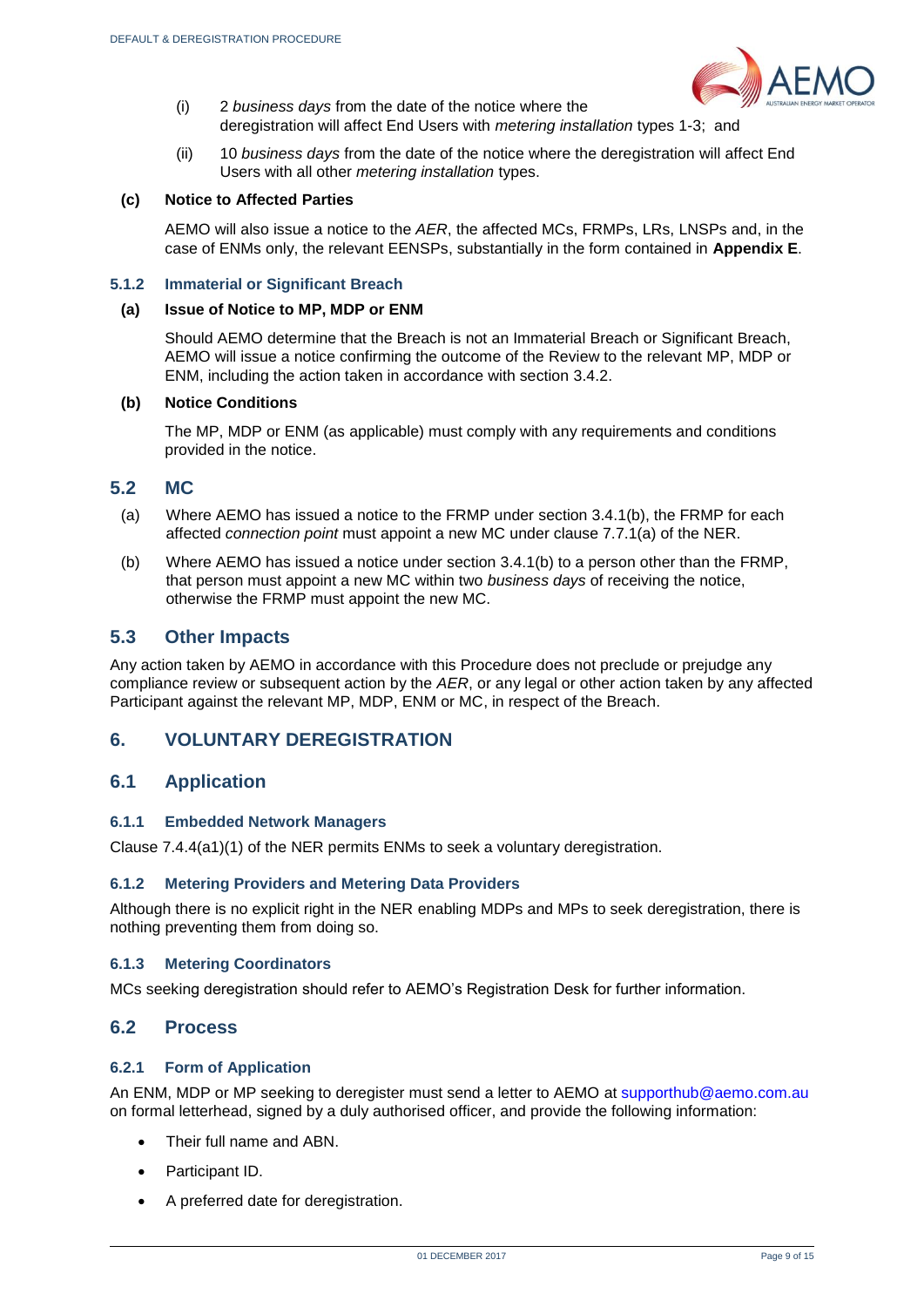

- (i) 2 *business days* from the date of the notice where the deregistration will affect End Users with *metering installation* types 1-3; and
- (ii) 10 *business days* from the date of the notice where the deregistration will affect End Users with all other *metering installation* types.

#### **(c) Notice to Affected Parties**

AEMO will also issue a notice to the *AER*, the affected MCs, FRMPs, LRs, LNSPs and, in the case of ENMs only, the relevant EENSPs, substantially in the form contained in **Appendix E**.

#### **5.1.2 Immaterial or Significant Breach**

#### **(a) Issue of Notice to MP, MDP or ENM**

Should AEMO determine that the Breach is not an Immaterial Breach or Significant Breach, AEMO will issue a notice confirming the outcome of the Review to the relevant MP, MDP or ENM, including the action taken in accordance with section 3.4.2.

#### **(b) Notice Conditions**

The MP, MDP or ENM (as applicable) must comply with any requirements and conditions provided in the notice.

#### <span id="page-8-0"></span>**5.2 MC**

- (a) Where AEMO has issued a notice to the FRMP under section 3.4.1(b), the FRMP for each affected *connection point* must appoint a new MC under clause 7.7.1(a) of the NER.
- (b) Where AEMO has issued a notice under section 3.4.1(b) to a person other than the FRMP, that person must appoint a new MC within two *business days* of receiving the notice, otherwise the FRMP must appoint the new MC.

#### <span id="page-8-1"></span>**5.3 Other Impacts**

Any action taken by AEMO in accordance with this Procedure does not preclude or prejudge any compliance review or subsequent action by the *AER*, or any legal or other action taken by any affected Participant against the relevant MP, MDP, ENM or MC, in respect of the Breach.

#### <span id="page-8-2"></span>**6. VOLUNTARY DEREGISTRATION**

#### <span id="page-8-3"></span>**6.1 Application**

#### **6.1.1 Embedded Network Managers**

Clause 7.4.4(a1)(1) of the NER permits ENMs to seek a voluntary deregistration.

#### **6.1.2 Metering Providers and Metering Data Providers**

Although there is no explicit right in the NER enabling MDPs and MPs to seek deregistration, there is nothing preventing them from doing so.

#### **6.1.3 Metering Coordinators**

MCs seeking deregistration should refer to AEMO's Registration Desk for further information.

#### <span id="page-8-4"></span>**6.2 Process**

#### **6.2.1 Form of Application**

An ENM, MDP or MP seeking to deregister must send a letter to AEMO at [supporthub@aemo.com.au](mailto:supporthub@aemo.com.au) on formal letterhead, signed by a duly authorised officer, and provide the following information:

- Their full name and ABN.
- Participant ID.
- A preferred date for deregistration.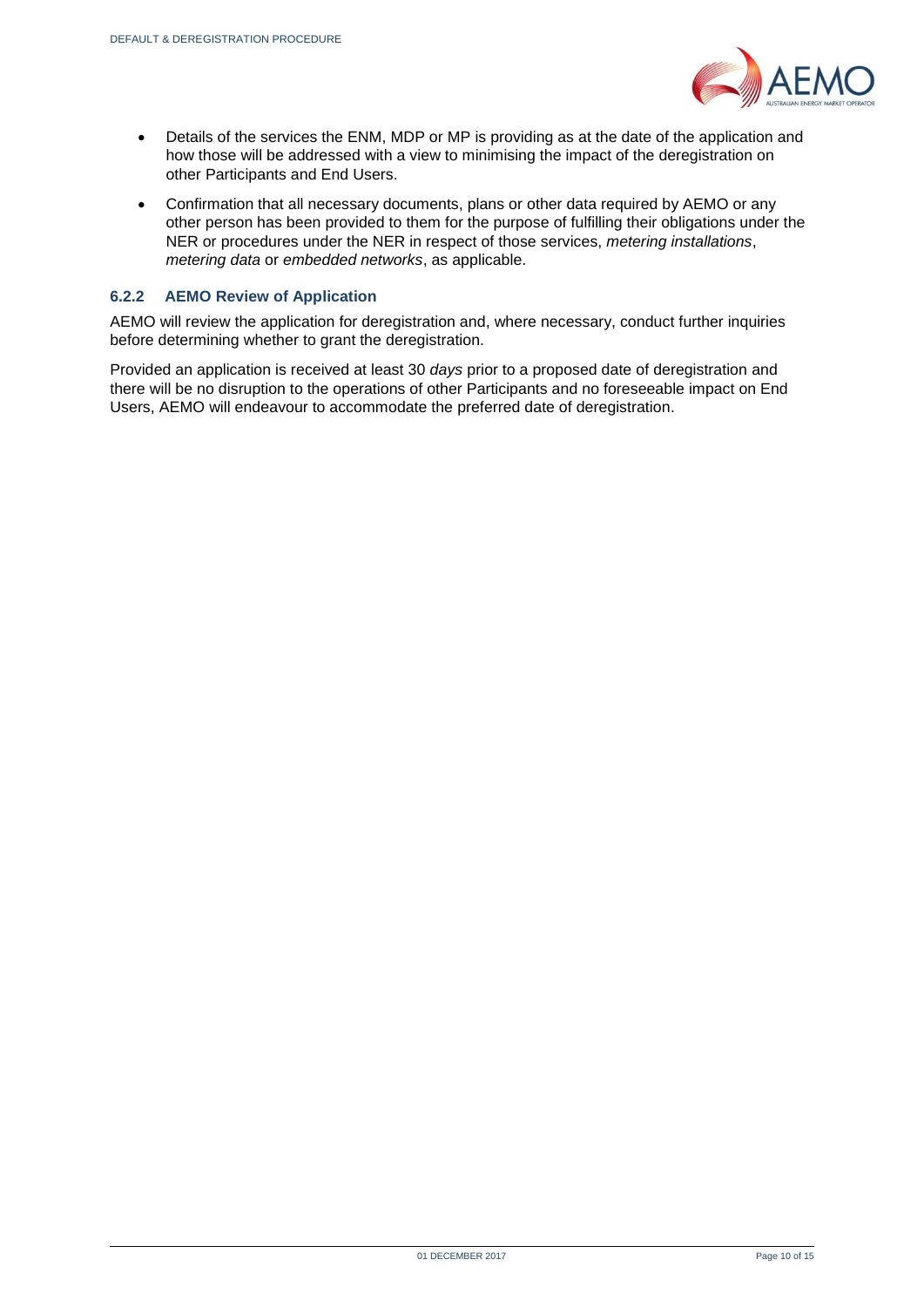

- Details of the services the ENM, MDP or MP is providing as at the date of the application and how those will be addressed with a view to minimising the impact of the deregistration on other Participants and End Users.
- Confirmation that all necessary documents, plans or other data required by AEMO or any other person has been provided to them for the purpose of fulfilling their obligations under the NER or procedures under the NER in respect of those services, *metering installations*, *metering data* or *embedded networks*, as applicable.

#### **6.2.2 AEMO Review of Application**

AEMO will review the application for deregistration and, where necessary, conduct further inquiries before determining whether to grant the deregistration.

Provided an application is received at least 30 *days* prior to a proposed date of deregistration and there will be no disruption to the operations of other Participants and no foreseeable impact on End Users, AEMO will endeavour to accommodate the preferred date of deregistration.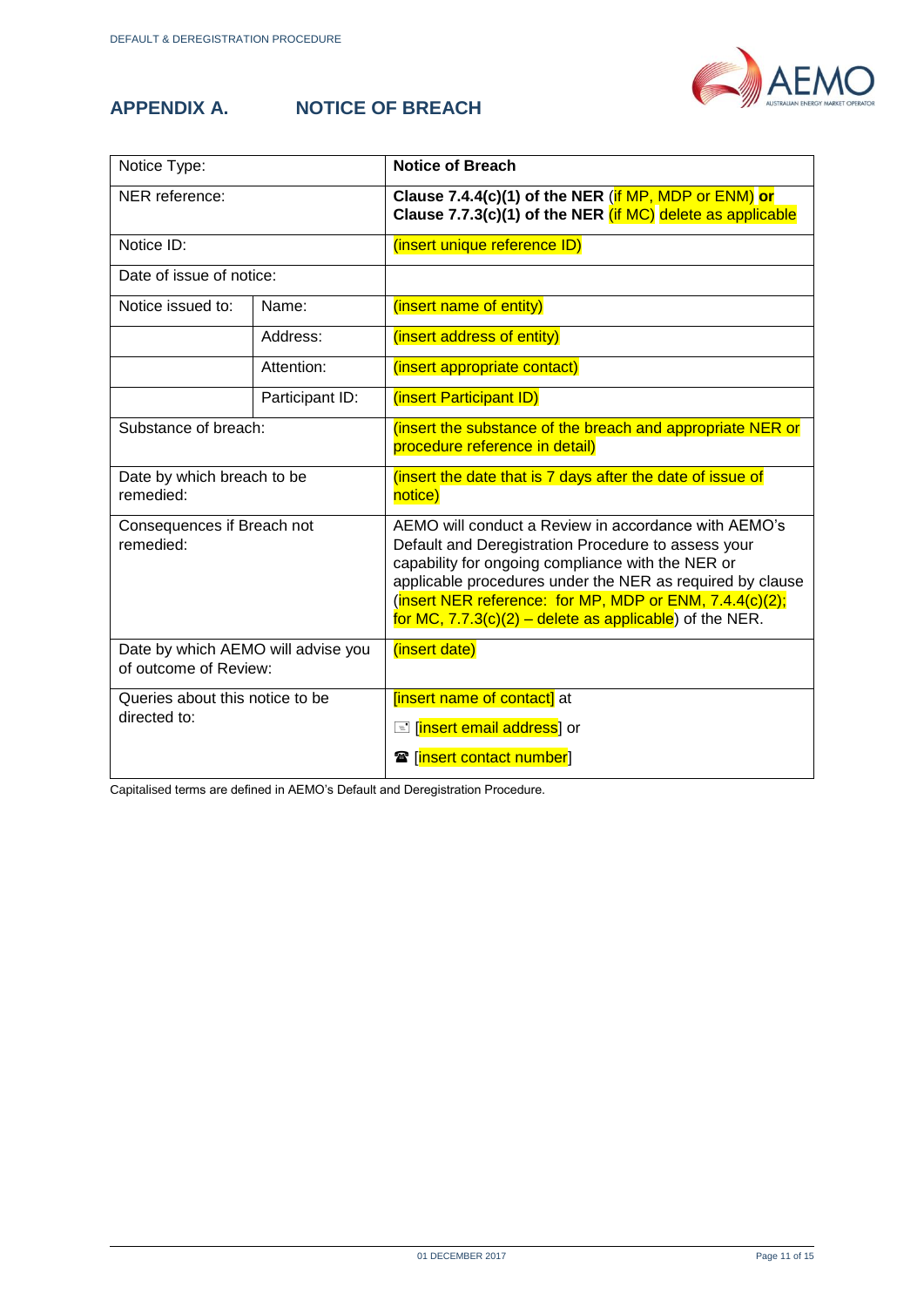

### <span id="page-10-0"></span>**APPENDIX A.**

| <b>NOTICE OF BREACH</b> |  |
|-------------------------|--|
|                         |  |

| Notice Type:                                                |                 | <b>Notice of Breach</b>                                                                                                                                                                                                                                                                                                                               |
|-------------------------------------------------------------|-----------------|-------------------------------------------------------------------------------------------------------------------------------------------------------------------------------------------------------------------------------------------------------------------------------------------------------------------------------------------------------|
| NER reference:                                              |                 | Clause 7.4.4(c)(1) of the NER (if MP, MDP or ENM) or<br>Clause 7.7.3(c)(1) of the NER (if MC) delete as applicable                                                                                                                                                                                                                                    |
| Notice ID:                                                  |                 | (insert unique reference ID)                                                                                                                                                                                                                                                                                                                          |
| Date of issue of notice:                                    |                 |                                                                                                                                                                                                                                                                                                                                                       |
| Notice issued to:                                           | Name:           | (insert name of entity)                                                                                                                                                                                                                                                                                                                               |
|                                                             | Address:        | (insert address of entity)                                                                                                                                                                                                                                                                                                                            |
|                                                             | Attention:      | (insert appropriate contact)                                                                                                                                                                                                                                                                                                                          |
|                                                             | Participant ID: | (insert Participant ID)                                                                                                                                                                                                                                                                                                                               |
| Substance of breach:                                        |                 | (insert the substance of the breach and appropriate NER or<br>procedure reference in detail)                                                                                                                                                                                                                                                          |
| Date by which breach to be<br>remedied:                     |                 | (insert the date that is 7 days after the date of issue of<br>notice)                                                                                                                                                                                                                                                                                 |
| Consequences if Breach not<br>remedied:                     |                 | AEMO will conduct a Review in accordance with AEMO's<br>Default and Deregistration Procedure to assess your<br>capability for ongoing compliance with the NER or<br>applicable procedures under the NER as required by clause<br>(insert NER reference: for MP, MDP or ENM, 7.4.4(c)(2);<br>for MC, $7.7.3(c)(2)$ – delete as applicable) of the NER. |
| Date by which AEMO will advise you<br>of outcome of Review: |                 | (insert date)                                                                                                                                                                                                                                                                                                                                         |
| Queries about this notice to be<br>directed to:             |                 | [insert name of contact] at<br><mark>E</mark> [ <mark>insert email address</mark> ] or<br><b>雷</b> [insert contact number]                                                                                                                                                                                                                            |

Capitalised terms are defined in AEMO's Default and Deregistration Procedure.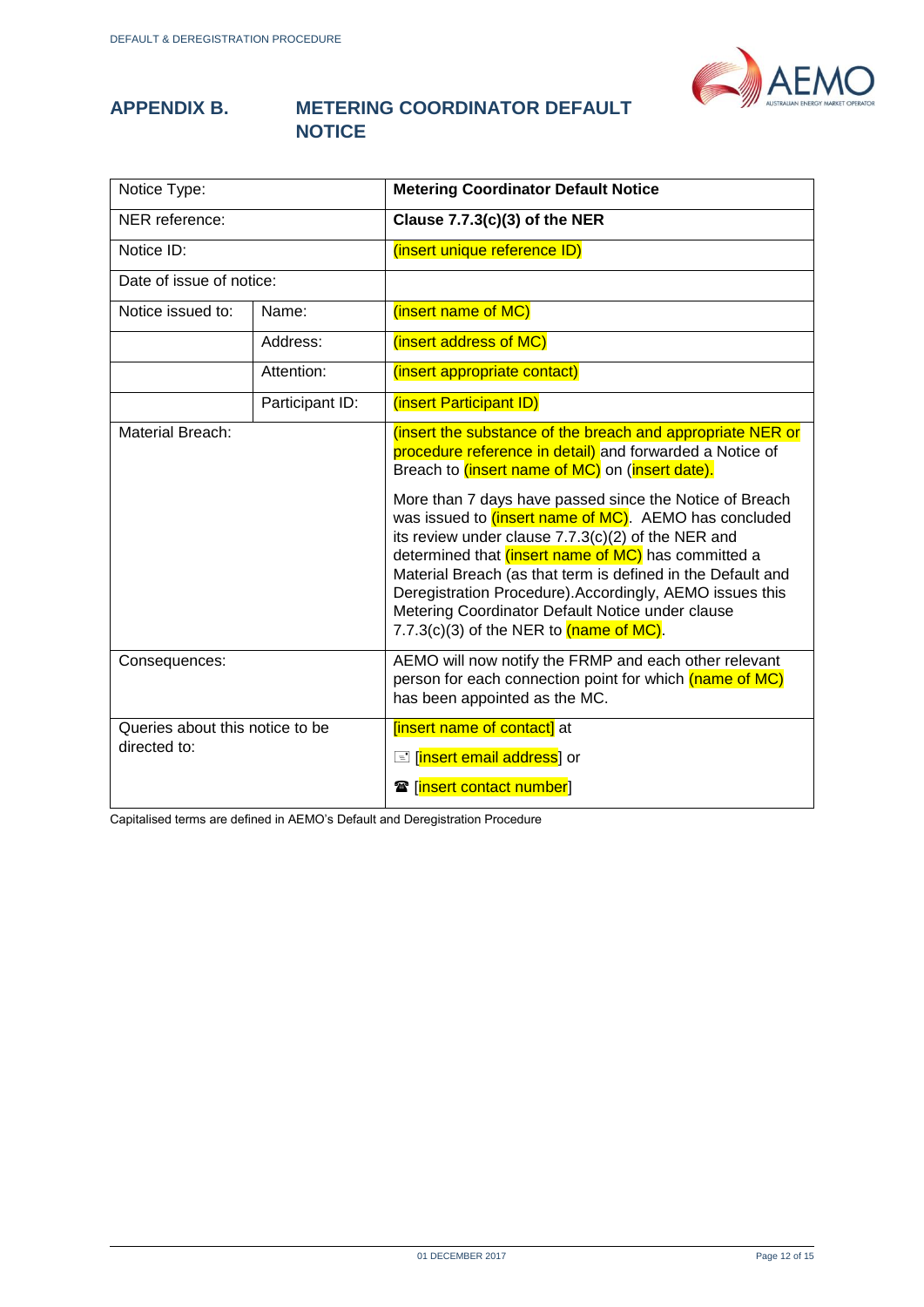

#### <span id="page-11-0"></span>**APPENDIX B. METERING COORDINATOR DEFAULT NOTICE**

| Notice Type:                                    |                 | <b>Metering Coordinator Default Notice</b>                                                                                                                                                                                                                                                                                                                                                                                                                                                                                                                                                                              |
|-------------------------------------------------|-----------------|-------------------------------------------------------------------------------------------------------------------------------------------------------------------------------------------------------------------------------------------------------------------------------------------------------------------------------------------------------------------------------------------------------------------------------------------------------------------------------------------------------------------------------------------------------------------------------------------------------------------------|
| NER reference:                                  |                 | Clause $7.7.3(c)(3)$ of the NER                                                                                                                                                                                                                                                                                                                                                                                                                                                                                                                                                                                         |
| Notice ID:                                      |                 | (insert unique reference ID)                                                                                                                                                                                                                                                                                                                                                                                                                                                                                                                                                                                            |
| Date of issue of notice:                        |                 |                                                                                                                                                                                                                                                                                                                                                                                                                                                                                                                                                                                                                         |
| Notice issued to:                               | Name:           | (insert name of MC)                                                                                                                                                                                                                                                                                                                                                                                                                                                                                                                                                                                                     |
|                                                 | Address:        | (insert address of MC)                                                                                                                                                                                                                                                                                                                                                                                                                                                                                                                                                                                                  |
|                                                 | Attention:      | (insert appropriate contact)                                                                                                                                                                                                                                                                                                                                                                                                                                                                                                                                                                                            |
|                                                 | Participant ID: | (insert Participant ID)                                                                                                                                                                                                                                                                                                                                                                                                                                                                                                                                                                                                 |
| <b>Material Breach:</b>                         |                 | (insert the substance of the breach and appropriate NER or<br>procedure reference in detail) and forwarded a Notice of<br>Breach to <i>(insert name of MC)</i> on <i>(insert date)</i> .<br>More than 7 days have passed since the Notice of Breach<br>was issued to <i>(insert name of MC)</i> . AEMO has concluded<br>its review under clause 7.7.3(c)(2) of the NER and<br>determined that <i>(insert name of MC)</i> has committed a<br>Material Breach (as that term is defined in the Default and<br>Deregistration Procedure). Accordingly, AEMO issues this<br>Metering Coordinator Default Notice under clause |
| Consequences:                                   |                 | 7.7.3(c)(3) of the NER to $(name of MC)$ .<br>AEMO will now notify the FRMP and each other relevant<br>person for each connection point for which (name of MC)<br>has been appointed as the MC.                                                                                                                                                                                                                                                                                                                                                                                                                         |
| Queries about this notice to be<br>directed to: |                 | <b>[insert name of contact]</b> at<br><b>E</b> [insert email address] or<br><b>雷</b> [insert contact number]                                                                                                                                                                                                                                                                                                                                                                                                                                                                                                            |

Capitalised terms are defined in AEMO's Default and Deregistration Procedure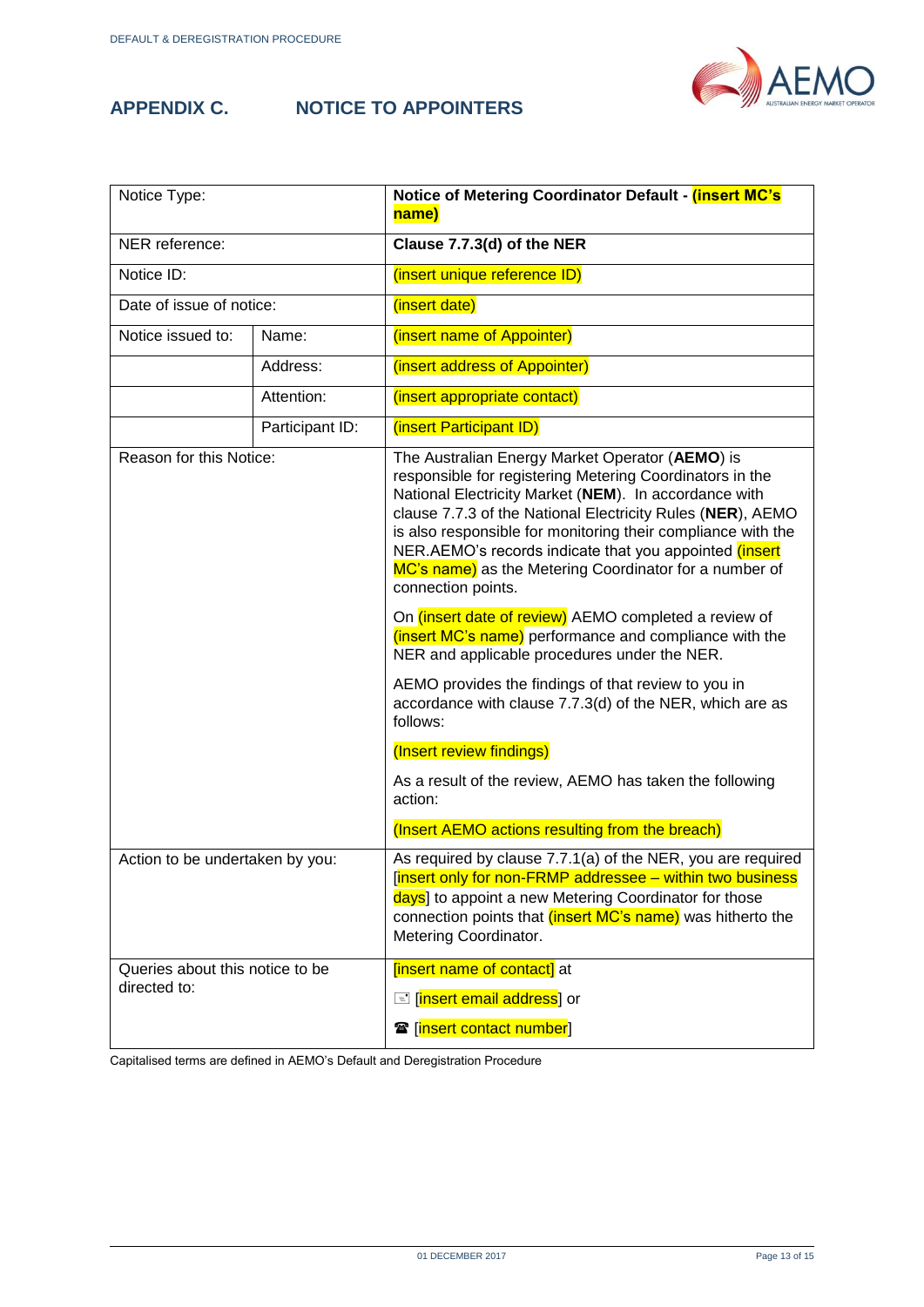<span id="page-12-0"></span>

#### **APPENDIX C. NOTICE TO APPOINTERS**



| Notice Type:                                    |                 | Notice of Metering Coordinator Default - (insert MC's<br>name)                                                                                                                                                                                                                                                                                                                                                                               |
|-------------------------------------------------|-----------------|----------------------------------------------------------------------------------------------------------------------------------------------------------------------------------------------------------------------------------------------------------------------------------------------------------------------------------------------------------------------------------------------------------------------------------------------|
| NER reference:                                  |                 | Clause 7.7.3(d) of the NER                                                                                                                                                                                                                                                                                                                                                                                                                   |
| Notice ID:                                      |                 | (insert unique reference ID)                                                                                                                                                                                                                                                                                                                                                                                                                 |
| Date of issue of notice:                        |                 | (insert date)                                                                                                                                                                                                                                                                                                                                                                                                                                |
| Notice issued to:                               | Name:           | (insert name of Appointer)                                                                                                                                                                                                                                                                                                                                                                                                                   |
|                                                 | Address:        | (insert address of Appointer)                                                                                                                                                                                                                                                                                                                                                                                                                |
|                                                 | Attention:      | (insert appropriate contact)                                                                                                                                                                                                                                                                                                                                                                                                                 |
|                                                 | Participant ID: | (insert Participant ID)                                                                                                                                                                                                                                                                                                                                                                                                                      |
| Reason for this Notice:                         |                 | The Australian Energy Market Operator (AEMO) is<br>responsible for registering Metering Coordinators in the<br>National Electricity Market (NEM). In accordance with<br>clause 7.7.3 of the National Electricity Rules (NER), AEMO<br>is also responsible for monitoring their compliance with the<br>NER.AEMO's records indicate that you appointed (insert<br>MC's name) as the Metering Coordinator for a number of<br>connection points. |
|                                                 |                 | On <i>(insert date of review)</i> AEMO completed a review of<br>(insert MC's name) performance and compliance with the<br>NER and applicable procedures under the NER.                                                                                                                                                                                                                                                                       |
|                                                 |                 | AEMO provides the findings of that review to you in<br>accordance with clause 7.7.3(d) of the NER, which are as<br>follows:                                                                                                                                                                                                                                                                                                                  |
|                                                 |                 | (Insert review findings)                                                                                                                                                                                                                                                                                                                                                                                                                     |
|                                                 |                 | As a result of the review, AEMO has taken the following<br>action:                                                                                                                                                                                                                                                                                                                                                                           |
|                                                 |                 | (Insert AEMO actions resulting from the breach)                                                                                                                                                                                                                                                                                                                                                                                              |
| Action to be undertaken by you:                 |                 | As required by clause 7.7.1(a) of the NER, you are required<br>[insert only for non-FRMP addressee - within two business<br>days] to appoint a new Metering Coordinator for those<br>connection points that (insert MC's name) was hitherto the<br>Metering Coordinator.                                                                                                                                                                     |
| Queries about this notice to be<br>directed to: |                 | [insert name of contact] at<br><b>E</b> [insert email address] or<br><b>雷</b> [insert contact number]                                                                                                                                                                                                                                                                                                                                        |

Capitalised terms are defined in AEMO's Default and Deregistration Procedure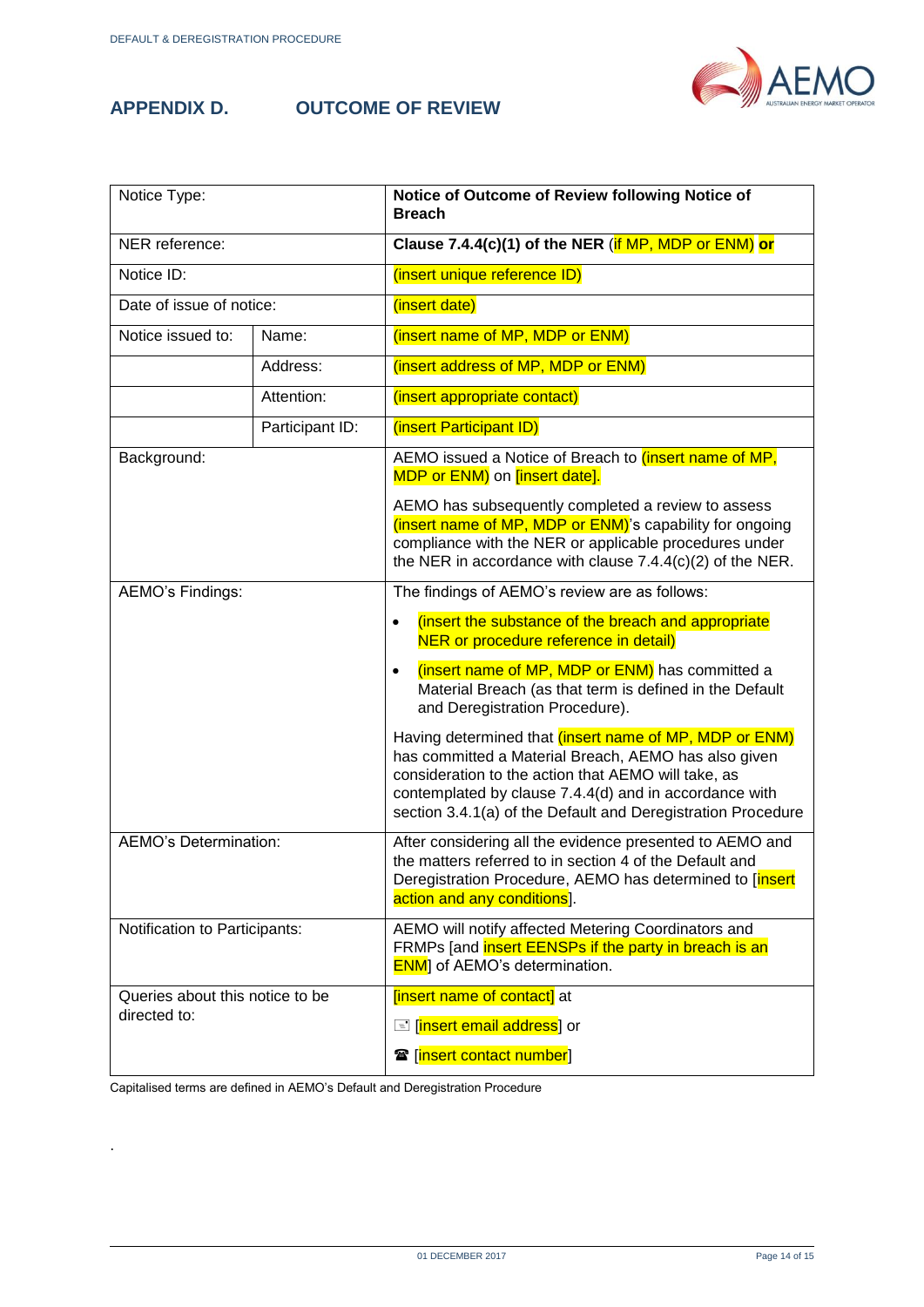<span id="page-13-0"></span>

#### **APPENDIX D. OUTCOME OF REVIEW**



| Notice Type:                                    |                 | Notice of Outcome of Review following Notice of<br><b>Breach</b>                                                                                                                                                                                                                                |
|-------------------------------------------------|-----------------|-------------------------------------------------------------------------------------------------------------------------------------------------------------------------------------------------------------------------------------------------------------------------------------------------|
| NER reference:                                  |                 | Clause 7.4.4(c)(1) of the NER $(if MP, MDP or ENM)$ or                                                                                                                                                                                                                                          |
| Notice ID:                                      |                 | (insert unique reference ID)                                                                                                                                                                                                                                                                    |
| Date of issue of notice:                        |                 | (insert date)                                                                                                                                                                                                                                                                                   |
| Notice issued to:                               | Name:           | (insert name of MP, MDP or ENM)                                                                                                                                                                                                                                                                 |
|                                                 | Address:        | (insert address of MP, MDP or ENM)                                                                                                                                                                                                                                                              |
|                                                 | Attention:      | (insert appropriate contact)                                                                                                                                                                                                                                                                    |
|                                                 | Participant ID: | (insert Participant ID)                                                                                                                                                                                                                                                                         |
| Background:                                     |                 | AEMO issued a Notice of Breach to <i>(insert name of MP,</i><br>MDP or ENM) on [insert date].                                                                                                                                                                                                   |
|                                                 |                 | AEMO has subsequently completed a review to assess<br>(insert name of MP, MDP or ENM)'s capability for ongoing<br>compliance with the NER or applicable procedures under<br>the NER in accordance with clause $7.4.4(c)(2)$ of the NER.                                                         |
| AEMO's Findings:                                |                 | The findings of AEMO's review are as follows:                                                                                                                                                                                                                                                   |
|                                                 |                 | (insert the substance of the breach and appropriate<br>$\bullet$<br>NER or procedure reference in detail)                                                                                                                                                                                       |
|                                                 |                 | (insert name of MP, MDP or ENM) has committed a<br>$\bullet$<br>Material Breach (as that term is defined in the Default<br>and Deregistration Procedure).                                                                                                                                       |
|                                                 |                 | Having determined that (insert name of MP, MDP or ENM)<br>has committed a Material Breach, AEMO has also given<br>consideration to the action that AEMO will take, as<br>contemplated by clause 7.4.4(d) and in accordance with<br>section 3.4.1(a) of the Default and Deregistration Procedure |
| AEMO's Determination:                           |                 | After considering all the evidence presented to AEMO and<br>the matters referred to in section 4 of the Default and<br>Deregistration Procedure, AEMO has determined to [insert<br>action and any conditions].                                                                                  |
| Notification to Participants:                   |                 | AEMO will notify affected Metering Coordinators and<br>FRMPs [and insert EENSPs if the party in breach is an<br><b>ENM</b> ] of AEMO's determination.                                                                                                                                           |
| Queries about this notice to be<br>directed to: |                 | [insert name of contact] at                                                                                                                                                                                                                                                                     |
|                                                 |                 | <b>E</b> [insert email address] or                                                                                                                                                                                                                                                              |
|                                                 |                 | <b>雪</b> [insert contact number]                                                                                                                                                                                                                                                                |

Capitalised terms are defined in AEMO's Default and Deregistration Procedure

.